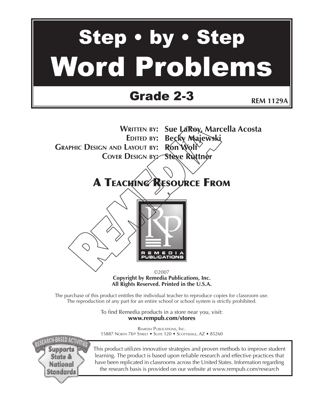# Step • by • Step Word Problems

## Grade 2-3

**REM 1129A**

**WRITTEN BY: Sue LaRoy, Marcella Acosta EDITED BY: Becky Majewski GRAPHIC DESIGN AND LAYOUT BY: Ron Wolf COVER DESIGN BY: Steve Ruttner**

## A TEACHING RESOURCE FROM



©2007 **Copyright by Remedia Publications, Inc. All Rights Reserved. Printed in the U.S.A.**

The purchase of this product entitles the individual teacher to reproduce copies for classroom use. The reproduction of any part for an entire school or school system is strictly prohibited.

> To find Remedia products in a store near you, visit: **www.rempub.com/stores**

> REMEDIA PUBLICATIONS, INC. 15887 NORTH 76<sup>TH</sup> STREET • SUITE 120 • SCOTTSDALE, AZ • 85260

**H-BASED ACTIVITIE** Supports State & National **Standards** 

This product utilizes innovative strategies and proven methods to improve student learning. The product is based upon reliable research and effective practices that have been replicated in classrooms across the United States. Information regarding the research basis is provided on our website at www.rempub.com/research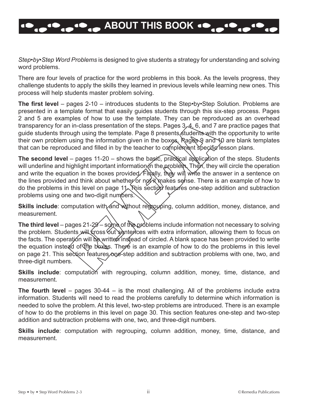## **ABOUT THIS BOOK**

*Step•by•Step Word Problems* is designed to give students a strategy for understanding and solving word problems.

There are four levels of practice for the word problems in this book. As the levels progress, they challenge students to apply the skills they learned in previous levels while learning new ones. This process will help students master problem solving.

**The first level** – pages 2-10 – introduces students to the Step•by•Step Solution. Problems are presented in a template format that easily guides students through this six-step process. Pages 2 and 5 are examples of how to use the template. They can be reproduced as an overhead transparency for an in-class presentation of the steps. Pages 3, 4, 6, and 7 are practice pages that guide students through using the template. Page 8 presents students with the opportunity to write their own problem using the information given in the boxes. Pages 9 and 10 are blank templates that can be reproduced and filled in by the teacher to complement specific lesson plans.

**The second level** – pages 11-20 – shows the basic, practical application of the steps. Students will underline and highlight important information in the problem. Then, they will circle the operation and write the equation in the boxes provided. Finally, they will write the answer in a sentence on the lines provided and think about whether or not it makes sense. There is an example of how to do the problems in this level on page 11. This section features one-step addition and subtraction problems using one and two-digit numbers.

**Skills include**: computation with and without regrouping, column addition, money, distance, and measurement.

**The third level** – pages 21-29 – some of the problems include information not necessary to solving the problem. Students will cross out sentences with extra information, allowing them to focus on the facts. The operation will be written instead of circled. A blank space has been provided to write the equation instead of the boxes. There is an example of how to do the problems in this level on page 21. This section features one-step addition and subtraction problems with one, two, and three-digit numbers.

**Skills include**: computation with regrouping, column addition, money, time, distance, and measurement.

**The fourth level** – pages 30-44 – is the most challenging. All of the problems include extra information. Students will need to read the problems carefully to determine which information is needed to solve the problem. At this level, two-step problems are introduced. There is an example of how to do the problems in this level on page 30. This section features one-step and two-step addition and subtraction problems with one, two, and three-digit numbers.

**Skills include**: computation with regrouping, column addition, money, time, distance, and measurement.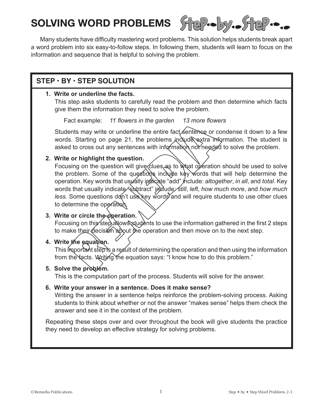## **SOLVING WORD PROBLEMS**



Many students have difficulty mastering word problems. This solution helps students break apart a word problem into six easy-to-follow steps. In following them, students will learn to focus on the information and sequence that is helpful to solving the problem.

### **STEP • BY • STEP SOLUTION**

#### **1. Write or underline the facts.**

This step asks students to carefully read the problem and then determine which facts give them the information they need to solve the problem.

Fact example: *11 flowers in the garden 13 more flowers*

Students may write or underline the entire fact sentence or condense it down to a few words. Starting on page 21, the problems include extra information. The student is asked to cross out any sentences with information not needed to solve the problem.

#### **2. Write or highlight the question.**

Focusing on the question will give clues as to what operation should be used to solve the problem. Some of the questions include key words that will help determine the operation. Key words that usually indicate "add" include: *altogether*, *in all*, and *total*. Key words that usually indicate "subtract" include: *still*, *left*, *how much more*, and *how much less*. Some questions don't use key words and will require students to use other clues to determine the operation.

#### **3. Write or circle the operation.**

Focusing on this step allows students to use the information gathered in the first 2 steps to make their decision about the operation and then move on to the next step.

#### **4. Write the equation.**

This important step is a result of determining the operation and then using the information from the facts. Writing the equation says: "I know how to do this problem."

#### **5. Solve the problem.**

This is the computation part of the process. Students will solve for the answer.

#### **6. Write your answer in a sentence. Does it make sense?**

Writing the answer in a sentence helps reinforce the problem-solving process. Asking students to think about whether or not the answer "makes sense" helps them check the answer and see it in the context of the problem.

Repeating these steps over and over throughout the book will give students the practice they need to develop an effective strategy for solving problems.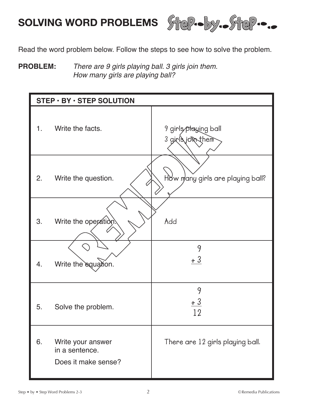

Read the word problem below. Follow the steps to see how to solve the problem.

#### **PROBLEM:** There are 9 girls playing ball. 3 girls join them. How many girls are playing ball?

| STEP · BY · STEP SOLUTION |                                                            |                                           |
|---------------------------|------------------------------------------------------------|-------------------------------------------|
| 1.                        | Write the facts.                                           | 9 girls playing ball<br>3 girls join them |
| 2.                        | Write the question.                                        | How many girls are playing ball?          |
| 3.                        | Write the operation.                                       | Add                                       |
| 4.                        | Write the equation.                                        | 9<br>$+3$                                 |
| 5.                        | Solve the problem.                                         | 9<br>$+3$<br>19                           |
| 6.                        | Write your answer<br>in a sentence.<br>Does it make sense? | There are 12 girls playing ball.          |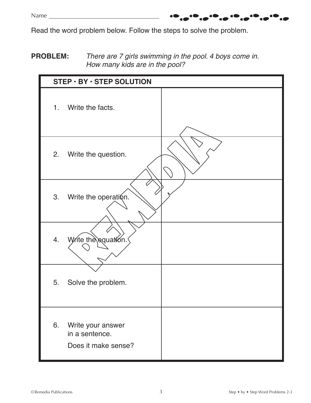Read the word problem below. Follow the steps to solve the problem.

#### **PROBLEM:** There are 7 girls swimming in the pool. 4 boys come in. How many kids are in the pool?

|    | $STEP \cdot BY \cdot STEP$ SOLUTION                        |  |  |
|----|------------------------------------------------------------|--|--|
| 1. | Write the facts.                                           |  |  |
| 2. | Write the question.                                        |  |  |
| 3. | Write the operation.                                       |  |  |
| 4. | Write the equation.                                        |  |  |
| 5. | Solve the problem.                                         |  |  |
| 6. | Write your answer<br>in a sentence.<br>Does it make sense? |  |  |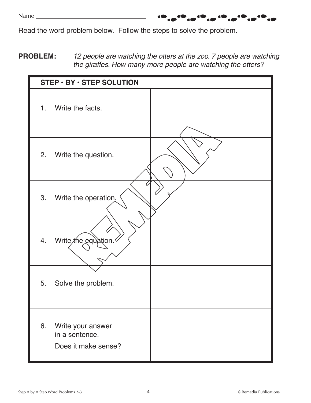Read the word problem below. Follow the steps to solve the problem.

**PROBLEM:** 12 people are watching the otters at the zoo. 7 people are watching the giraffes. How many more people are watching the otters?

.....

| STEP · BY · STEP SOLUTION |                                                            |  |
|---------------------------|------------------------------------------------------------|--|
| 1.                        | Write the facts.                                           |  |
| 2.                        | Write the question.                                        |  |
| 3.                        | Write the operation.                                       |  |
|                           | 4. Write the equation.                                     |  |
| 5.                        | Solve the problem.                                         |  |
| 6.                        | Write your answer<br>in a sentence.<br>Does it make sense? |  |

,10<sub>.0</sub>10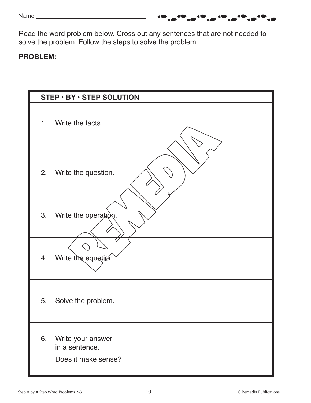Read the word problem below. Cross out any sentences that are not needed to solve the problem. Follow the steps to solve the problem.

#### **PROBLEM:**

|     | $STEP \cdot BY \cdot STEP$ SOLUTION                        |  |  |
|-----|------------------------------------------------------------|--|--|
| 1.7 | Write the facts.                                           |  |  |
| 2.  | Write the question.                                        |  |  |
| 3.  | Write the operation.                                       |  |  |
|     | 4. Write the equation.                                     |  |  |
| 5.  | Solve the problem.                                         |  |  |
| 6.  | Write your answer<br>in a sentence.<br>Does it make sense? |  |  |